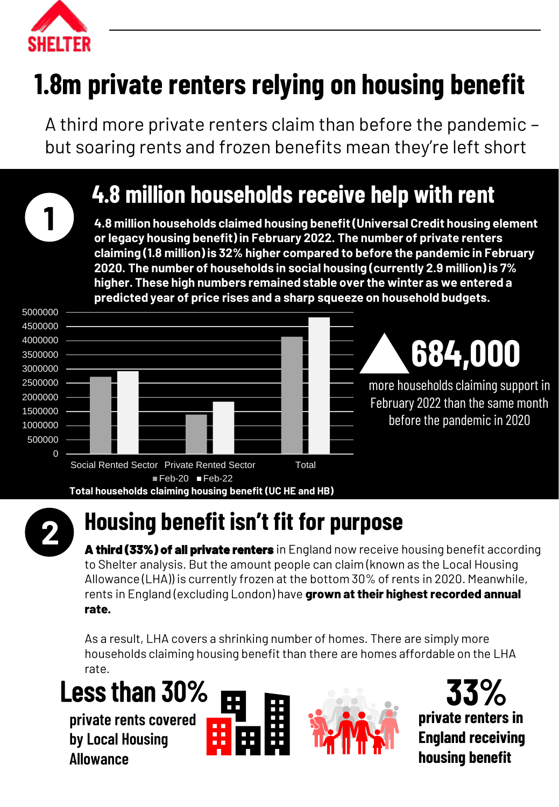

**1**

# **1.8m private renters relying on housing benefit**

A third more private renters claim than before the pandemic – but soaring rents and frozen benefits mean they're left short

## **4.8 million households receive help with rent**

**4.8 million households claimed housing benefit (Universal Credit housing element or legacy housing benefit) in February 2022. The number of private renters claiming (1.8 million) is 32% higher compared to before the pandemic in February 2020. The number of households in social housing (currently 2.9 million) is 7% higher. These high numbers remained stable over the winter as we entered a predicted year of price rises and a sharp squeeze on household budgets.**





## **Housing benefit isn't fit for purpose**

**A third (33%) of all private renters** in England now receive housing benefit according to Shelter analysis. But the amount people can claim (known as the Local Housing Allowance (LHA)) is currently frozen at the bottom 30% of rents in 2020. Meanwhile, rents in England (excluding London) have **grown at their highest recorded annual rate.**

As a result, LHA covers a shrinking number of homes. There are simply more households claiming housing benefit than there are homes affordable on the LHA rate.

# Less than 30% **33%**

**private rents covered by Local Housing Allowance**





**private renters in England receiving housing benefit**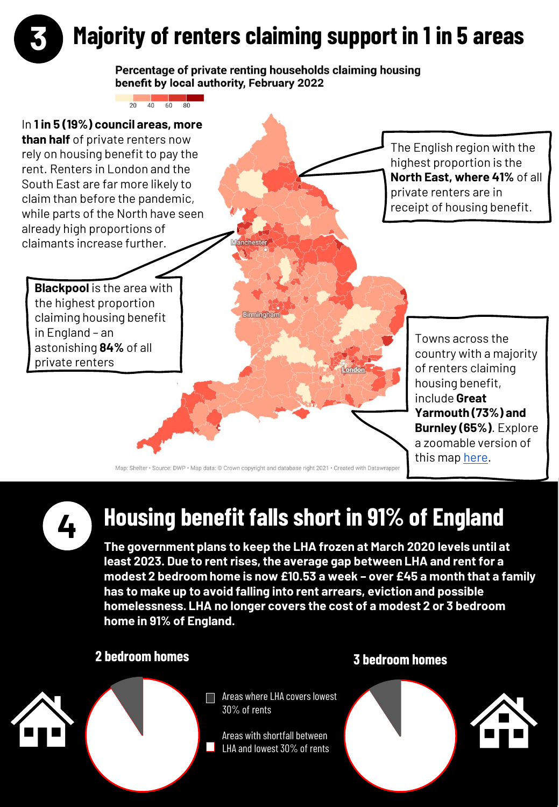

#### Percentage of private renting households claiming housing benefit by local authority, February 2022

a a shekara



Map: Shelter · Source: DWP · Map data: @ Crown copyright and database right 2021 · Created with Datawrapper

**4**

### **Housing benefit falls short in 91% of England**

**The government plans to keep the LHA frozen at March 2020 levels until at least 2023. Due to rent rises, the average gap between LHA and rent for a modest 2 bedroom home is now £10.53 a week – over £45 a month that a family has to make up to avoid falling into rent arrears, eviction and possible homelessness. LHA no longer covers the cost of a modest 2 or 3 bedroom home in 91% of England.**